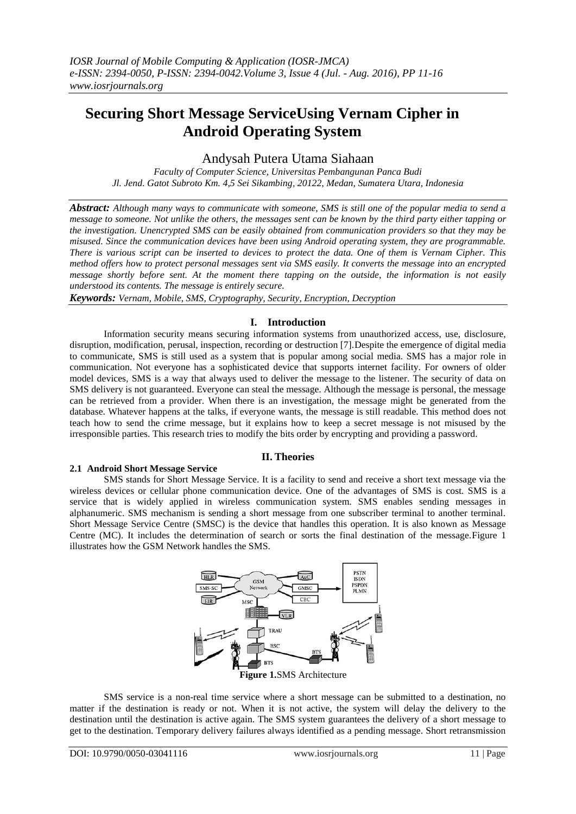# **Securing Short Message ServiceUsing Vernam Cipher in Android Operating System**

# Andysah Putera Utama Siahaan

*Faculty of Computer Science, Universitas Pembangunan Panca Budi Jl. Jend. Gatot Subroto Km. 4,5 Sei Sikambing, 20122, Medan, Sumatera Utara, Indonesia*

*Abstract: Although many ways to communicate with someone, SMS is still one of the popular media to send a message to someone. Not unlike the others, the messages sent can be known by the third party either tapping or the investigation. Unencrypted SMS can be easily obtained from communication providers so that they may be misused. Since the communication devices have been using Android operating system, they are programmable. There is various script can be inserted to devices to protect the data. One of them is Vernam Cipher. This method offers how to protect personal messages sent via SMS easily. It converts the message into an encrypted message shortly before sent. At the moment there tapping on the outside, the information is not easily understood its contents. The message is entirely secure.*

*Keywords: Vernam, Mobile, SMS, Cryptography, Security, Encryption, Decryption*

# **I. Introduction**

Information security means securing information systems from unauthorized access, use, disclosure, disruption, modification, perusal, inspection, recording or destruction [7].Despite the emergence of digital media to communicate, SMS is still used as a system that is popular among social media. SMS has a major role in communication. Not everyone has a sophisticated device that supports internet facility. For owners of older model devices, SMS is a way that always used to deliver the message to the listener. The security of data on SMS delivery is not guaranteed. Everyone can steal the message. Although the message is personal, the message can be retrieved from a provider. When there is an investigation, the message might be generated from the database. Whatever happens at the talks, if everyone wants, the message is still readable. This method does not teach how to send the crime message, but it explains how to keep a secret message is not misused by the irresponsible parties. This research tries to modify the bits order by encrypting and providing a password.

# **II. Theories**

## **2.1 Android Short Message Service**

SMS stands for Short Message Service. It is a facility to send and receive a short text message via the wireless devices or cellular phone communication device. One of the advantages of SMS is cost. SMS is a service that is widely applied in wireless communication system. SMS enables sending messages in alphanumeric. SMS mechanism is sending a short message from one subscriber terminal to another terminal. Short Message Service Centre (SMSC) is the device that handles this operation. It is also known as Message Centre (MC). It includes the determination of search or sorts the final destination of the message.Figure 1 illustrates how the GSM Network handles the SMS.



SMS service is a non-real time service where a short message can be submitted to a destination, no matter if the destination is ready or not. When it is not active, the system will delay the delivery to the destination until the destination is active again. The SMS system guarantees the delivery of a short message to get to the destination. Temporary delivery failures always identified as a pending message. Short retransmission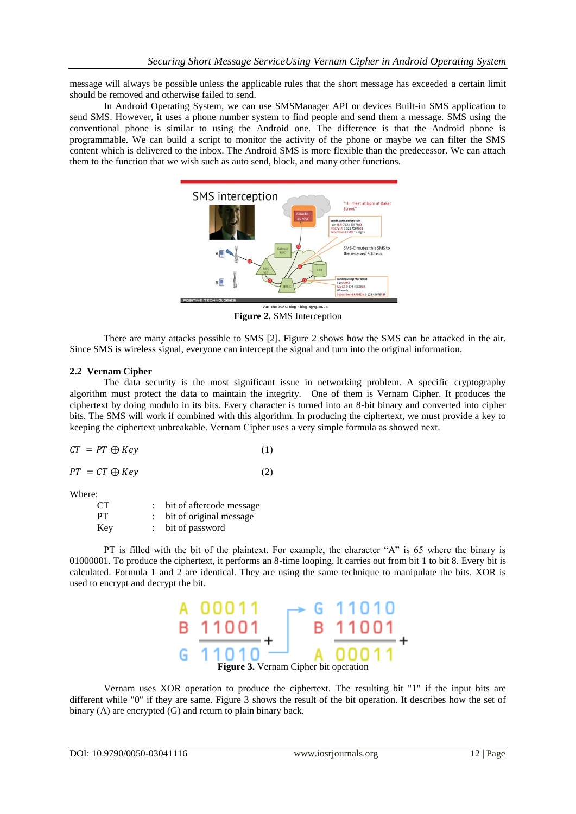message will always be possible unless the applicable rules that the short message has exceeded a certain limit should be removed and otherwise failed to send.

In Android Operating System, we can use SMSManager API or devices Built-in SMS application to send SMS. However, it uses a phone number system to find people and send them a message. SMS using the conventional phone is similar to using the Android one. The difference is that the Android phone is programmable. We can build a script to monitor the activity of the phone or maybe we can filter the SMS content which is delivered to the inbox. The Android SMS is more flexible than the predecessor. We can attach them to the function that we wish such as auto send, block, and many other functions.



**Figure 2.** SMS Interception

There are many attacks possible to SMS [2]. Figure 2 shows how the SMS can be attacked in the air. Since SMS is wireless signal, everyone can intercept the signal and turn into the original information.

## **2.2 Vernam Cipher**

The data security is the most significant issue in networking problem. A specific cryptography algorithm must protect the data to maintain the integrity. One of them is Vernam Cipher. It produces the ciphertext by doing modulo in its bits. Every character is turned into an 8-bit binary and converted into cipher bits. The SMS will work if combined with this algorithm. In producing the ciphertext, we must provide a key to keeping the ciphertext unbreakable. Vernam Cipher uses a very simple formula as showed next.

|  | $CT = PT \oplus Key$ | (1) |  |
|--|----------------------|-----|--|
|--|----------------------|-----|--|

$$
PT = CT \oplus Key \tag{2}
$$

Where:

| CТ  | bit of aftercode message |
|-----|--------------------------|
| PТ  | bit of original message  |
| Key | bit of password          |

PT is filled with the bit of the plaintext. For example, the character "A" is 65 where the binary is 01000001. To produce the ciphertext, it performs an 8-time looping. It carries out from bit 1 to bit 8. Every bit is calculated. Formula 1 and 2 are identical. They are using the same technique to manipulate the bits. XOR is used to encrypt and decrypt the bit.



Vernam uses XOR operation to produce the ciphertext. The resulting bit "1" if the input bits are different while "0" if they are same. Figure 3 shows the result of the bit operation. It describes how the set of binary (A) are encrypted (G) and return to plain binary back.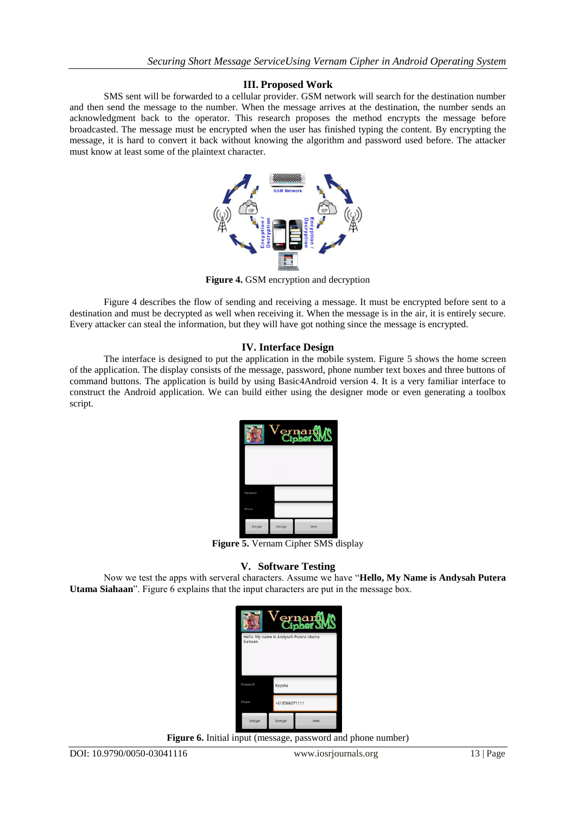# **III. Proposed Work**

SMS sent will be forwarded to a cellular provider. GSM network will search for the destination number and then send the message to the number. When the message arrives at the destination, the number sends an acknowledgment back to the operator. This research proposes the method encrypts the message before broadcasted. The message must be encrypted when the user has finished typing the content. By encrypting the message, it is hard to convert it back without knowing the algorithm and password used before. The attacker must know at least some of the plaintext character.



**Figure 4.** GSM encryption and decryption

Figure 4 describes the flow of sending and receiving a message. It must be encrypted before sent to a destination and must be decrypted as well when receiving it. When the message is in the air, it is entirely secure. Every attacker can steal the information, but they will have got nothing since the message is encrypted.

## **IV. Interface Design**

The interface is designed to put the application in the mobile system. Figure 5 shows the home screen of the application. The display consists of the message, password, phone number text boxes and three buttons of command buttons. The application is build by using Basic4Android version 4. It is a very familiar interface to construct the Android application. We can build either using the designer mode or even generating a toolbox script.

| $V_{\begin{subarray}{l} \epsilon \end{subarray}}$ $V_{\begin{subarray}{l} \epsilon \end{subarray}}$ |         |      |  |  |  |  |  |  |
|-----------------------------------------------------------------------------------------------------|---------|------|--|--|--|--|--|--|
| Password                                                                                            |         |      |  |  |  |  |  |  |
| Phone                                                                                               |         |      |  |  |  |  |  |  |
| Encrypt                                                                                             | Decrypt | Send |  |  |  |  |  |  |

**Figure 5.** Vernam Cipher SMS display

## **V. Software Testing**

Now we test the apps with serveral characters. Assume we have "**Hello, My Name is Andysah Putera Utama Siahaan**". Figure 6 explains that the input characters are put in the message box.

|                                                   |               | Vernar <b>tMS</b> |  |  |  |  |  |  |
|---------------------------------------------------|---------------|-------------------|--|--|--|--|--|--|
| Hello, My name is Andysah Putera Utama<br>Siahaan |               |                   |  |  |  |  |  |  |
|                                                   |               |                   |  |  |  |  |  |  |
| Password                                          | Keysha        |                   |  |  |  |  |  |  |
| Phone                                             | +618566071111 |                   |  |  |  |  |  |  |
| Encrypt                                           | Decrypt       | Send              |  |  |  |  |  |  |

**Figure 6.** Initial input (message, password and phone number)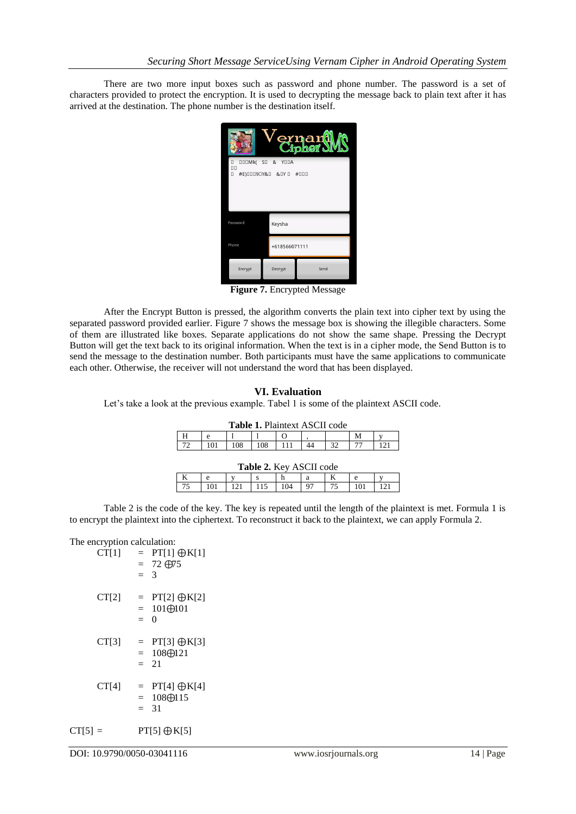There are two more input boxes such as password and phone number. The password is a set of characters provided to protect the encryption. It is used to decrypting the message back to plain text after it has arrived at the destination. The phone number is the destination itself.



**Figure 7.** Encrypted Message

After the Encrypt Button is pressed, the algorithm converts the plain text into cipher text by using the separated password provided earlier. Figure 7 shows the message box is showing the illegible characters. Some of them are illustrated like boxes. Separate applications do not show the same shape. Pressing the Decrypt Button will get the text back to its original information. When the text is in a cipher mode, the Send Button is to send the message to the destination number. Both participants must have the same applications to communicate each other. Otherwise, the receiver will not understand the word that has been displayed.

# **VI. Evaluation**

Let's take a look at the previous example. Tabel 1 is some of the plaintext ASCII code.

| Table 1. Plaintext ASCII code  |             |     |     |  |  |    |   |              |  |  |
|--------------------------------|-------------|-----|-----|--|--|----|---|--------------|--|--|
|                                | e           |     |     |  |  |    | м |              |  |  |
| 72                             | 101         | 108 | 108 |  |  | 32 |   | $\mathbf{1}$ |  |  |
| <b>Table 2. Key ASCII code</b> |             |     |     |  |  |    |   |              |  |  |
|                                | a<br>e<br>e |     |     |  |  |    |   |              |  |  |

Table 2 is the code of the key. The key is repeated until the length of the plaintext is met. Formula 1 is to encrypt the plaintext into the ciphertext. To reconstruct it back to the plaintext, we can apply Formula 2.

75 101 121 115 104 97 75 101 121

## The encryption calculation:

| CT[1]     | $=$ PT[1] $\oplus$ K[1]<br>$= 72 \oplus 75$<br>$\mathcal{E}$<br>$=$ |
|-----------|---------------------------------------------------------------------|
| CT[2]     | $=$ PT[2] $\oplus$ K[2]<br>$= 101 \oplus 101$<br>0<br>$=$           |
| CT[3]     | = $PT[3] \oplus K[3]$<br>$= 108 \oplus 121$<br>$= 21$               |
| CT[4]     | $=$ PT[4] $\bigoplus K[4]$<br>$= 108 \oplus 115$<br>$= 31$          |
| $CT[5] =$ | $PT[5] \oplus K[5]$                                                 |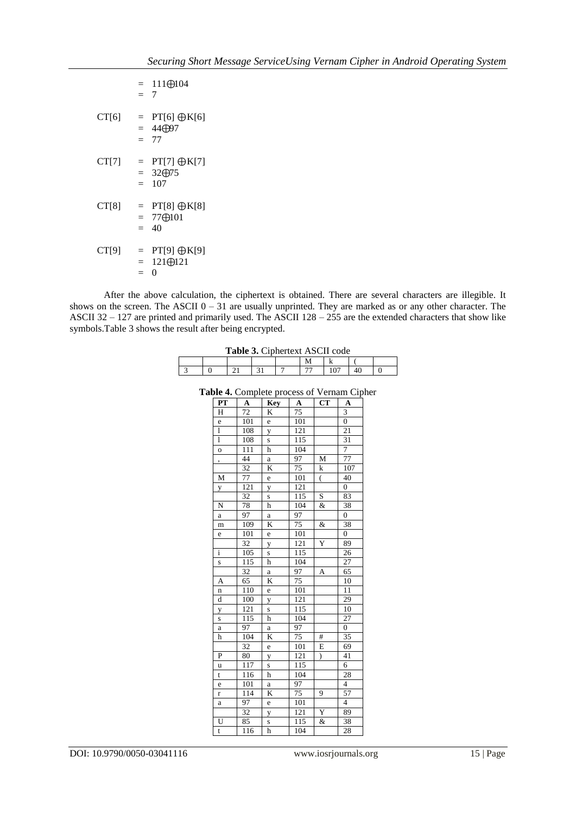|              | $= 111 \oplus 104$<br>$= 7$                                           |
|--------------|-----------------------------------------------------------------------|
| CT[6]        | $PT[6] \oplus K[6]$<br>$=$<br>44 <del>100</del> 7<br>$=$<br>77<br>$=$ |
| CT[7]        | $PT[7] \oplus K[7]$<br>$=$<br>$= 32 \oplus 75$<br>107<br>$=$          |
| CT[8]<br>$=$ | $PT[8] \oplus K[8]$<br>$=$<br>77⊕101<br>$=$<br>40                     |
| CT[9]<br>$=$ | $PT[9] \oplus K[9]$<br>$=$<br>$121 \bigoplus 121$<br>$=$<br>0         |

After the above calculation, the ciphertext is obtained. There are several characters are illegible. It shows on the screen. The ASCII  $0 - 31$  are usually unprinted. They are marked as or any other character. The ASCII  $32 - 127$  are printed and primarily used. The ASCII  $128 - 255$  are the extended characters that show like symbols. Table 3 shows the result after being encrypted.

| <b>Table 3. Ciphertext ASCII code</b> |  |
|---------------------------------------|--|
|                                       |  |

| <b>Table 9:</b> Cipherent Tibert code |  |  |  |  |  |  |  |
|---------------------------------------|--|--|--|--|--|--|--|
|                                       |  |  |  |  |  |  |  |
|                                       |  |  |  |  |  |  |  |

| . .<br>$\overline{PT}$  |                 | omprete process or      |                  | "<br>$\overline{\mathbf{C}\mathbf{T}}$ | $\mathsf{u}_\mathsf{P}$ |
|-------------------------|-----------------|-------------------------|------------------|----------------------------------------|-------------------------|
|                         | A               | Key                     | $\mathbf A$      |                                        | A                       |
| H                       | 72              | K                       | 75               |                                        | 3                       |
| e                       | 101             | e                       | 101              |                                        | $\overline{0}$          |
| $\mathbf{1}$            | 108             | y                       | 121              |                                        | 21                      |
| $\mathbf{1}$            | 108             | S                       | $\overline{115}$ |                                        | $\overline{31}$         |
| $\overline{0}$          | 111             | h                       | 104              |                                        | $\overline{7}$          |
| ,                       | 44              | a                       | 97               | M                                      | 77                      |
|                         | 32              | K                       | $\overline{75}$  | k                                      | 107                     |
| M                       | 77              | e                       | 101              | $\overline{(\ }$                       | 40                      |
| y                       | 121             | y                       | 121              |                                        | $\boldsymbol{0}$        |
|                         | 32              | S                       | 115              | S                                      | 83                      |
| N                       | 78              | h                       | 104              | &                                      | 38                      |
| a                       | 97              | $\rm{a}$                | 97               |                                        | $\boldsymbol{0}$        |
| m                       | 109             | K                       | $\overline{75}$  | &                                      | 38                      |
| e                       | 101             | e                       | 101              |                                        | $\boldsymbol{0}$        |
|                         | 32              | y                       | 121              | Ÿ                                      | 89                      |
| $\overline{i}$          | 105             | $\mathbf s$             | 115              |                                        | 26                      |
| $\overline{\mathbf{s}}$ | 115             | h                       | 104              |                                        | 27                      |
|                         | 32              | $\rm{a}$                | 97               | A                                      | 65                      |
| A                       | 65              | K                       | $\overline{75}$  |                                        | 10                      |
| n                       | 110             | e                       | 101              |                                        | 11                      |
| d                       | 100             | y                       | 121              |                                        | 29                      |
| y                       | 121             | $\overline{\mathbf{s}}$ | 115              |                                        | $\overline{10}$         |
| $\mathbf s$             | 115             | h                       | 104              |                                        | $\overline{27}$         |
| a                       | $\overline{97}$ | $\mathbf a$             | 97               |                                        | $\overline{0}$          |
| h                       | 104             | K                       | 75               | #                                      | 35                      |
|                         | 32              | e                       | 101              | $\overline{E}$                         | 69                      |
| P                       | 80              | y                       | 121              | $\mathcal{E}$                          | 41                      |
| u                       | 117             | $\overline{\mathbf{s}}$ | 115              |                                        | $\overline{6}$          |
| t                       | 116             | h                       | 104              |                                        | 28                      |
| e                       | 101             | $\mathbf a$             | 97               |                                        | $\overline{\mathbf{4}}$ |
| r                       | 114             | K                       | 75               | 9                                      | 57                      |
| $\mathbf a$             | 97              | e                       | 101              |                                        | $\overline{4}$          |
|                         | $\overline{32}$ | y                       | 121              | $\overline{Y}$                         | 89                      |
| $\overline{U}$          | $\overline{8}5$ | S                       | 115              | &                                      | 38                      |
| t                       | $11\bar{6}$     | h                       | 104              |                                        | 28                      |
|                         |                 |                         |                  |                                        |                         |